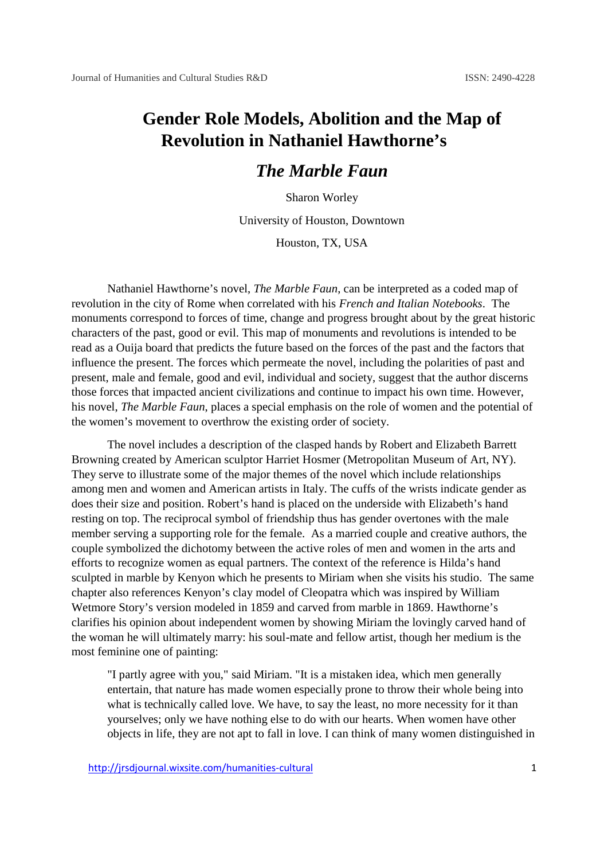## **Gender Role Models, Abolition and the Map of Revolution in Nathaniel Hawthorne's**

## *The Marble Faun*

Sharon Worley

University of Houston, Downtown

Houston, TX, USA

Nathaniel Hawthorne's novel, *The Marble Faun*, can be interpreted as a coded map of revolution in the city of Rome when correlated with his *French and Italian Notebooks*. The monuments correspond to forces of time, change and progress brought about by the great historic characters of the past, good or evil. This map of monuments and revolutions is intended to be read as a Ouija board that predicts the future based on the forces of the past and the factors that influence the present. The forces which permeate the novel, including the polarities of past and present, male and female, good and evil, individual and society, suggest that the author discerns those forces that impacted ancient civilizations and continue to impact his own time. However, his novel, *The Marble Faun*, places a special emphasis on the role of women and the potential of the women's movement to overthrow the existing order of society.

The novel includes a description of the clasped hands by Robert and Elizabeth Barrett Browning created by American sculptor Harriet Hosmer (Metropolitan Museum of Art, NY). They serve to illustrate some of the major themes of the novel which include relationships among men and women and American artists in Italy. The cuffs of the wrists indicate gender as does their size and position. Robert's hand is placed on the underside with Elizabeth's hand resting on top. The reciprocal symbol of friendship thus has gender overtones with the male member serving a supporting role for the female. As a married couple and creative authors, the couple symbolized the dichotomy between the active roles of men and women in the arts and efforts to recognize women as equal partners. The context of the reference is Hilda's hand sculpted in marble by Kenyon which he presents to Miriam when she visits his studio. The same chapter also references Kenyon's clay model of Cleopatra which was inspired by William Wetmore Story's version modeled in 1859 and carved from marble in 1869. Hawthorne's clarifies his opinion about independent women by showing Miriam the lovingly carved hand of the woman he will ultimately marry: his soul-mate and fellow artist, though her medium is the most feminine one of painting:

"I partly agree with you," said Miriam. "It is a mistaken idea, which men generally entertain, that nature has made women especially prone to throw their whole being into what is technically called love. We have, to say the least, no more necessity for it than yourselves; only we have nothing else to do with our hearts. When women have other objects in life, they are not apt to fall in love. I can think of many women distinguished in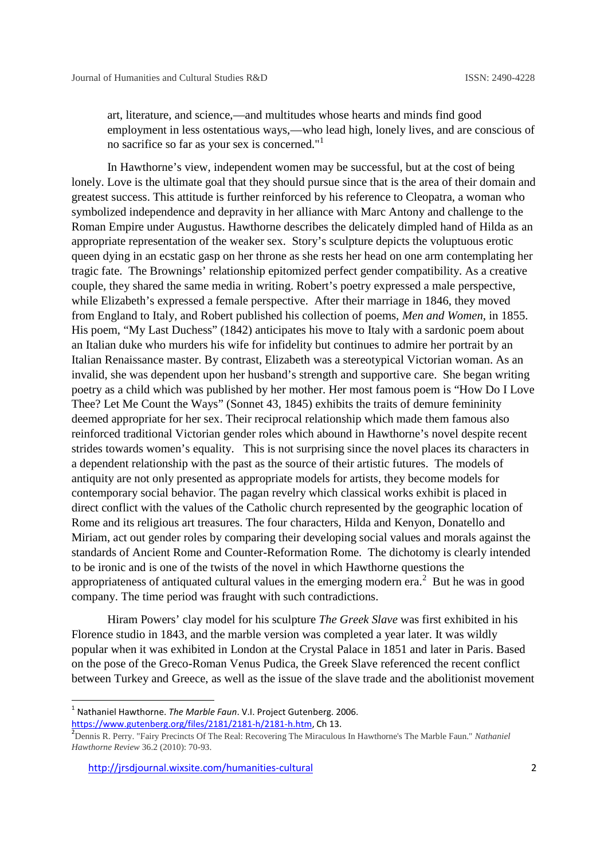art, literature, and science,—and multitudes whose hearts and minds find good employment in less ostentatious ways,—who lead high, lonely lives, and are conscious of no sacrifice so far as your sex is concerned."<sup>1</sup>

In Hawthorne's view, independent women may be successful, but at the cost of being lonely. Love is the ultimate goal that they should pursue since that is the area of their domain and greatest success. This attitude is further reinforced by his reference to Cleopatra, a woman who symbolized independence and depravity in her alliance with Marc Antony and challenge to the Roman Empire under Augustus. Hawthorne describes the delicately dimpled hand of Hilda as an appropriate representation of the weaker sex. Story's sculpture depicts the voluptuous erotic queen dying in an ecstatic gasp on her throne as she rests her head on one arm contemplating her tragic fate. The Brownings' relationship epitomized perfect gender compatibility. As a creative couple, they shared the same media in writing. Robert's poetry expressed a male perspective, while Elizabeth's expressed a female perspective. After their marriage in 1846, they moved from England to Italy, and Robert published his collection of poems, *Men and Women*, in 1855. His poem, "My Last Duchess" (1842) anticipates his move to Italy with a sardonic poem about an Italian duke who murders his wife for infidelity but continues to admire her portrait by an Italian Renaissance master. By contrast, Elizabeth was a stereotypical Victorian woman. As an invalid, she was dependent upon her husband's strength and supportive care. She began writing poetry as a child which was published by her mother. Her most famous poem is "How Do I Love Thee? Let Me Count the Ways" (Sonnet 43, 1845) exhibits the traits of demure femininity deemed appropriate for her sex. Their reciprocal relationship which made them famous also reinforced traditional Victorian gender roles which abound in Hawthorne's novel despite recent strides towards women's equality. This is not surprising since the novel places its characters in a dependent relationship with the past as the source of their artistic futures. The models of antiquity are not only presented as appropriate models for artists, they become models for contemporary social behavior. The pagan revelry which classical works exhibit is placed in direct conflict with the values of the Catholic church represented by the geographic location of Rome and its religious art treasures. The four characters, Hilda and Kenyon, Donatello and Miriam, act out gender roles by comparing their developing social values and morals against the standards of Ancient Rome and Counter-Reformation Rome. The dichotomy is clearly intended to be ironic and is one of the twists of the novel in which Hawthorne questions the appropriateness of antiquated cultural values in the emerging modern era.<sup>2</sup> But he was in good company. The time period was fraught with such contradictions.

Hiram Powers' clay model for his sculpture *The Greek Slave* was first exhibited in his Florence studio in 1843, and the marble version was completed a year later. It was wildly popular when it was exhibited in London at the Crystal Palace in 1851 and later in Paris. Based on the pose of the Greco-Roman Venus Pudica, the Greek Slave referenced the recent conflict between Turkey and Greece, as well as the issue of the slave trade and the abolitionist movement

<sup>1</sup> Nathaniel Hawthorne. *The Marble Faun*. V.I. Project Gutenberg. 2006.

https://www.gutenberg.org/files/2181/2181-h/2181-h.htm, Ch 13.<br><sup>2</sup>Dennis R. Perry. "Fairy Precincts Of The Real: Recovering The Miraculous In Hawthorne's The Marble Faun." *Nathaniel Hawthorne Review* 36.2 (2010): 70-93.

http://jrsdjournal.wixsite.com/humanities-cultural 2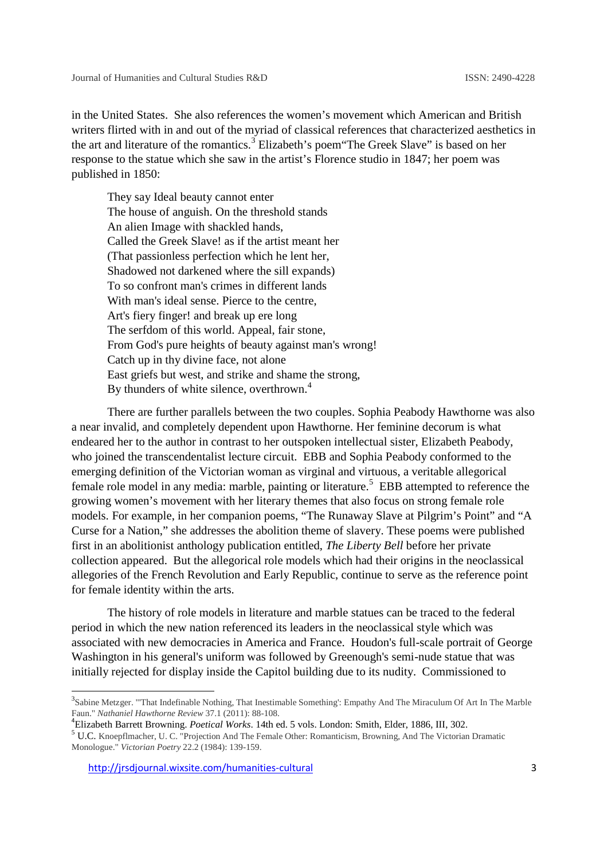in the United States. She also references the women's movement which American and British writers flirted with in and out of the myriad of classical references that characterized aesthetics in the art and literature of the romantics.<sup>3</sup> Elizabeth's poem"The Greek Slave" is based on her response to the statue which she saw in the artist's Florence studio in 1847; her poem was published in 1850:

They say Ideal beauty cannot enter The house of anguish. On the threshold stands An alien Image with shackled hands, Called the Greek Slave! as if the artist meant her (That passionless perfection which he lent her, Shadowed not darkened where the sill expands) To so confront man's crimes in different lands With man's ideal sense. Pierce to the centre, Art's fiery finger! and break up ere long The serfdom of this world. Appeal, fair stone, From God's pure heights of beauty against man's wrong! Catch up in thy divine face, not alone East griefs but west, and strike and shame the strong, By thunders of white silence, overthrown.<sup>4</sup>

There are further parallels between the two couples. Sophia Peabody Hawthorne was also a near invalid, and completely dependent upon Hawthorne. Her feminine decorum is what endeared her to the author in contrast to her outspoken intellectual sister, Elizabeth Peabody, who joined the transcendentalist lecture circuit. EBB and Sophia Peabody conformed to the emerging definition of the Victorian woman as virginal and virtuous, a veritable allegorical female role model in any media: marble, painting or literature.<sup>5</sup> EBB attempted to reference the growing women's movement with her literary themes that also focus on strong female role models. For example, in her companion poems, "The Runaway Slave at Pilgrim's Point" and "A Curse for a Nation," she addresses the abolition theme of slavery. These poems were published first in an abolitionist anthology publication entitled, *The Liberty Bell* before her private collection appeared. But the allegorical role models which had their origins in the neoclassical allegories of the French Revolution and Early Republic, continue to serve as the reference point for female identity within the arts.

The history of role models in literature and marble statues can be traced to the federal period in which the new nation referenced its leaders in the neoclassical style which was associated with new democracies in America and France. Houdon's full-scale portrait of George Washington in his general's uniform was followed by Greenough's semi-nude statue that was initially rejected for display inside the Capitol building due to its nudity. Commissioned to

<sup>3</sup>Sabine Metzger. "'That Indefinable Nothing, That Inestimable Something': Empathy And The Miraculum Of Art In The Marble Faun." *Nathaniel Hawthorne Review* 37.1 (2011): 88-108.<br>
<sup>4</sup> Elizabeth Barrett Browning. *Poetical Works*. 14th ed. 5 vols. London: Smith, Elder, 1886, III, 302.<br>
<sup>5</sup> U.C. Knoepflmacher, U. C. "Projection And The Female O

Monologue." *Victorian Poetry* 22.2 (1984): 139-159.

http://jrsdjournal.wixsite.com/humanities-cultural 3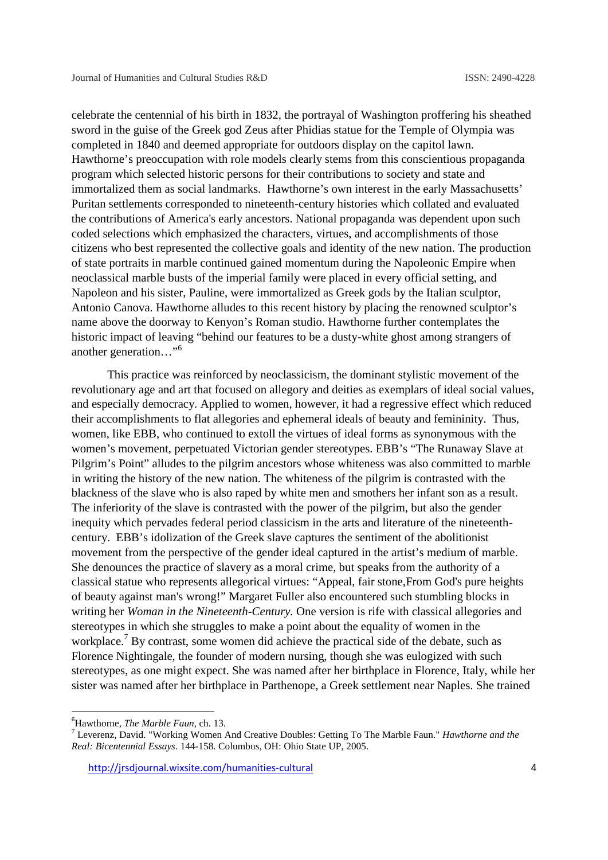celebrate the centennial of his birth in 1832, the portrayal of Washington proffering his sheathed sword in the guise of the Greek god Zeus after Phidias statue for the Temple of Olympia was completed in 1840 and deemed appropriate for outdoors display on the capitol lawn. Hawthorne's preoccupation with role models clearly stems from this conscientious propaganda program which selected historic persons for their contributions to society and state and immortalized them as social landmarks. Hawthorne's own interest in the early Massachusetts' Puritan settlements corresponded to nineteenth-century histories which collated and evaluated the contributions of America's early ancestors. National propaganda was dependent upon such coded selections which emphasized the characters, virtues, and accomplishments of those citizens who best represented the collective goals and identity of the new nation. The production of state portraits in marble continued gained momentum during the Napoleonic Empire when neoclassical marble busts of the imperial family were placed in every official setting, and Napoleon and his sister, Pauline, were immortalized as Greek gods by the Italian sculptor, Antonio Canova. Hawthorne alludes to this recent history by placing the renowned sculptor's name above the doorway to Kenyon's Roman studio. Hawthorne further contemplates the historic impact of leaving "behind our features to be a dusty-white ghost among strangers of another generation…"<sup>6</sup>

This practice was reinforced by neoclassicism, the dominant stylistic movement of the revolutionary age and art that focused on allegory and deities as exemplars of ideal social values, and especially democracy. Applied to women, however, it had a regressive effect which reduced their accomplishments to flat allegories and ephemeral ideals of beauty and femininity. Thus, women, like EBB, who continued to extoll the virtues of ideal forms as synonymous with the women's movement, perpetuated Victorian gender stereotypes. EBB's "The Runaway Slave at Pilgrim's Point" alludes to the pilgrim ancestors whose whiteness was also committed to marble in writing the history of the new nation. The whiteness of the pilgrim is contrasted with the blackness of the slave who is also raped by white men and smothers her infant son as a result. The inferiority of the slave is contrasted with the power of the pilgrim, but also the gender inequity which pervades federal period classicism in the arts and literature of the nineteenth century. EBB's idolization of the Greek slave captures the sentiment of the abolitionist movement from the perspective of the gender ideal captured in the artist's medium of marble. She denounces the practice of slavery as a moral crime, but speaks from the authority of a classical statue who represents allegorical virtues: "Appeal, fair stone,From God's pure heights of beauty against man's wrong!" Margaret Fuller also encountered such stumbling blocks in writing her *Woman in the Nineteenth-Century.* One version is rife with classical allegories and stereotypes in which she struggles to make a point about the equality of women in the workplace.<sup>7</sup> By contrast, some women did achieve the practical side of the debate, such as Florence Nightingale, the founder of modern nursing, though she was eulogized with such stereotypes, as one might expect. She was named after her birthplace in Florence, Italy, while her sister was named after her birthplace in Parthenope, a Greek settlement near Naples. She trained

<sup>6</sup>Hawthorne, *The Marble Faun*, ch. 13. <sup>7</sup> Leverenz, David. "Working Women And Creative Doubles: Getting To The Marble Faun." *Hawthorne and the Real: Bicentennial Essays*. 144-158. Columbus, OH: Ohio State UP, 2005.

http://jrsdjournal.wixsite.com/humanities-cultural 4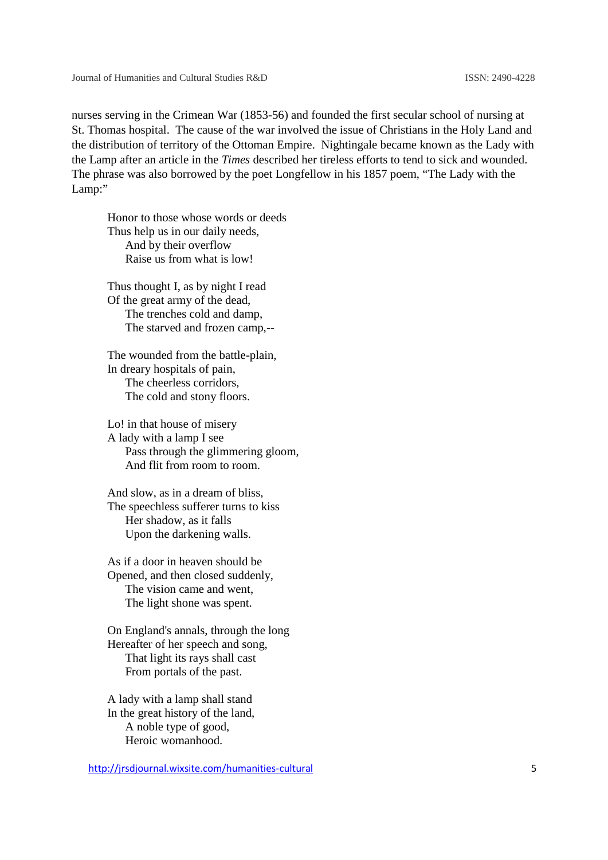nurses serving in the Crimean War (1853-56) and founded the first secular school of nursing at St. Thomas hospital. The cause of the war involved the issue of Christians in the Holy Land and the distribution of territory of the Ottoman Empire. Nightingale became known as the Lady with the Lamp after an article in the *Times* described her tireless efforts to tend to sick and wounded. The phrase was also borrowed by the poet Longfellow in his 1857 poem, "The Lady with the Lamp:" serving in the Crimean War (1853-56) and founded the first secular school of<br>mas hospital. The cause of the war involved the issue of Christians in the Ho<br>ribution of territory of the Ottoman Empire. Nightingale became kno spiral. The cause of the war invrolved the issue of Christians in the Holy Land<br>of of territory of the Ottoman Empire. Nightingale became known as the Lady<br>an article in the Times described her tireless efforts to tend to

Honor to those whose words or deeds Thus help us in our daily needs. And by their overflow Raise us from what is low!

Thus thought I, as by night I read Of the great army of the dead, The trenches cold and damp, The starved and frozen camp,--

The wounded from the battle-plain, In dreary hospitals of pain, The cheerless corridors, The cold and stony floors.

Lo! in that house of misery A lady with a lamp I see Pass through the glimmering gloom, And flit from room to room.

And slow, as in a dream of bliss, The speechless sufferer turns to kiss Her shadow, as it falls Upon the darkening walls.

As if a door in heaven should be Opened, and then closed suddenly, The vision came and went, The light shone was spent.

On England's annals, through the long Hereafter of her speech and song, That light its rays shall cast From portals of the past.

A lady with a lamp shall stand In the great history of the land, A noble type of good, Heroic womanhood.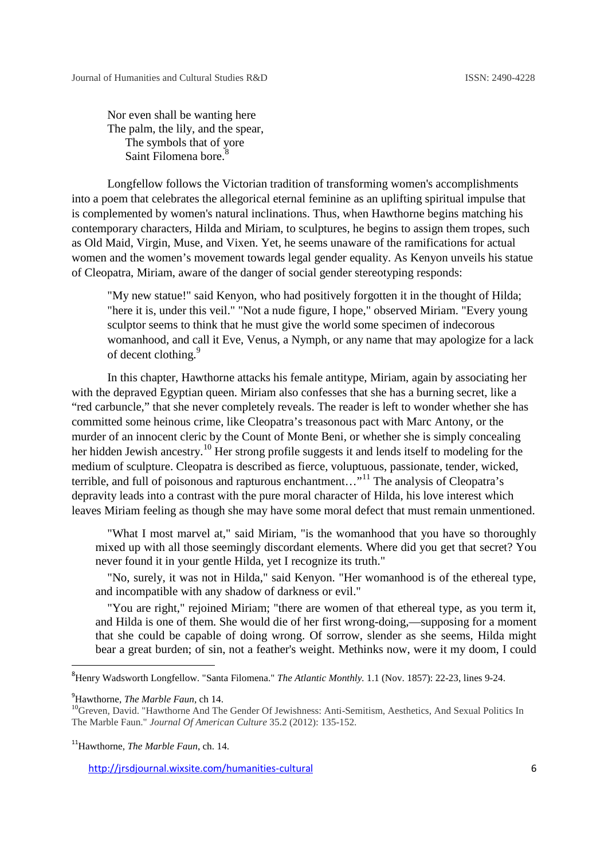Nor even shall be wanting here The palm, the lily, and the spear, The symbols that of yore Saint Filomena bore.<sup>8</sup>

Longfellow follows the Victorian tradition of transforming women's accomplishments into a poem that celebrates the allegorical eternal feminine as an uplifting spiritual impulse that is complemented by women's natural inclinations. Thus, when Hawthorne begins matching his contemporary characters, Hilda and Miriam, to sculptures, he begins to assign them tropes, such as Old Maid, Virgin, Muse, and Vixen. Yet, he seems unaware of the ramifications for actual women and the women's movement towards legal gender equality. As Kenyon unveils his statue of Cleopatra, Miriam, aware of the danger of social gender stereotyping responds: gender stereotyping iaint Filomena bore.<sup>8</sup><br>fellow follows the Victorian tradition of transf<br>that celebrates the allegorical eternal feminine<br>ented by women's natural inclinations. Thus, wi<br>y characters, Hilda and Miriam, to sculptures,

"My new statue!" said Kenyon, who had positively forgotten it in the thought of Hilda; "here it is, under this veil." "Not a nude figure, I hope," observed Miriam. "Every young sculptor seems to think that he must give the world some specimen of indecorous womanhood, and call it Eve, Venus, a Nymph, or any name that may apologize for a lack of decent clothing.<sup>9</sup>

In this chapter, Hawthorne attacks his female antitype, Miriam, again by associating her with the depraved Egyptian queen. Miriam also confesses that she has a burning secret, like a "red carbuncle," that she never completely reveals. The reader is left to wonder whether she has committed some heinous crime, like Cleopatra's treasonous pact with Marc Antony, or the murder of an innocent cleric by the Count of Monte Beni, or whether she is simply concealing murder of an innocent cleric by the Count of Monte Beni, or whether she is simply concealing<br>her hidden Jewish ancestry.<sup>10</sup> Her strong profile suggests it and lends itself to modeling for the medium of sculpture. Cleopatra is described as fierce, voluptuous, passionate, tender, wicked, terrible, and full of poisonous and rapturous enchantment..."<sup>11</sup> The analysis of Cleopatra's depravity leads into a contrast with the pure moral character of Hilda, his love interest which leaves Miriam feeling as though she may have some moral defect that must remain unmentioned. ty leads into a contrast with the pure moral character of Hilda, his love interest which<br>Miriam feeling as though she may have some moral defect that must remain unmentioned.<br>"What I most marvel at," said Miriam, "is the w ue!" said Kenyon, who had positively forgotten it in<br>der this veil." "Not a nude figure, I hope," observed l<br>s to think that he must give the world some specime<br>and call it Eve, Venus, a Nymph, or any name that n<br>hing.<sup>9</sup><br> are the alegorical eternal feminine as an uplifting spiriunal impulse that<br>the the alegorical eternal inclinations. Thus, when Hawthorne begins to assign them tropes, such<br>sumer's natural inclinations. Thus, when Hawthorne

mixed up with all those seemingly discordant elements. Where did you get that secret? You<br>never found it in your gentle Hilda, yet I recognize its truth." never found it in your gentle Hilda, yet I recognize its truth." expectively discordant elements. Where did you get that secret? You<br>
le Hilda, yet I recognize its truth."<br>
In Hilda," said Kenyon. "Her womanhood is of the ethereal type,<br>
shadow of darkness or evil."<br>
I Miriam; "there ar

"No, surely, it was not in Hilda," said Kenyon. "Her womanhood is of the ethereal type, and incompatible with any shadow of darkness or evil."

"You are right," rejoined Miriam; "there are women of that ethereal type, as you term it, and Hilda is one of them. She would die of her first wrong-doing,—supposing for a moment that she could be capable of doing wrong. Of sorrow, slender as she seems, Hilda might and Hilda is one of them. She would die of her first wrong-doing,—supposing for a moment<br>that she could be capable of doing wrong. Of sorrow, slender as she seems, Hilda might<br>bear a great burden; of sin, not a feather's w

<sup>&</sup>lt;sup>8</sup>Henry Wadsworth Longfellow. "Santa Filomena." *The Atlantic Monthly*. 1.1 (Nov. 1857): 22-23, lines 9-24.

<sup>&</sup>lt;sup>9</sup>Hawthorne, *The Marble Faun*, ch 14.

<sup>&</sup>lt;sup>9</sup>Hawthorne, *The Marble Faun*, ch 14.<br><sup>10</sup>Greven, David. "Hawthorne And The Gender Of Jewishness: Anti-Semitism, Aesthetics, And Sexual Politics In The Marble Faun." *Journal Of American Culture* 35.2 (2012): 135-152. "Hawthorne And The Gender Of Jewishness: Anti-Se:<br>" Journal Of American Culture 35.2 (2012): 135-152.<br>Marble Faun, ch. 14.

<sup>11</sup>Hawthorne, *The Marble Faun*, ch. 14.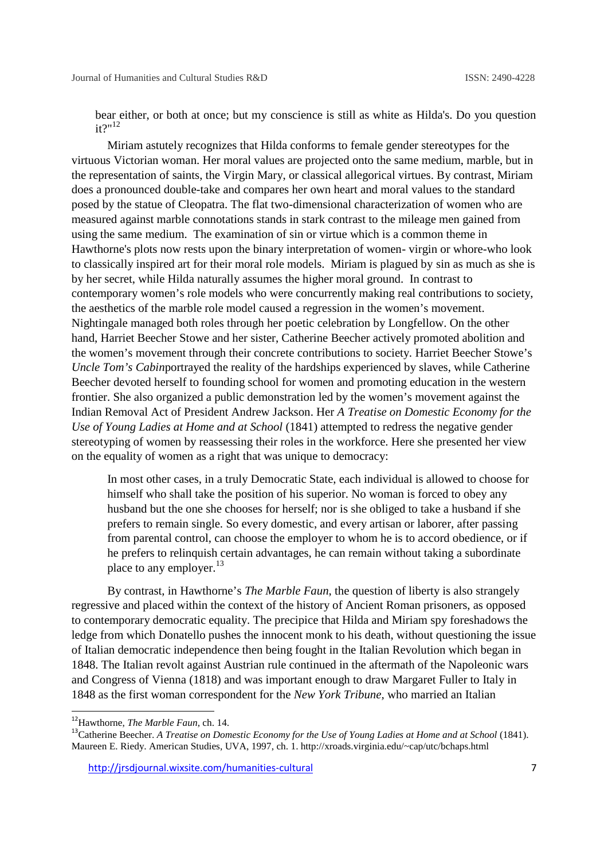bear either, or both at once; but my conscience is still as white as Hilda's. Do you question  $it?$ "<sup>12</sup>

Miriam astutely recognizes that Hilda conforms to female gender stereotypes for the virtuous Victorian woman. Her moral values are projected onto the same medium, marble, but in the representation of saints, the Virgin Mary, or classical allegorical virtues. By contrast, Miriam does a pronounced double-take and compares her own heart and moral values to the standard posed by the statue of Cleopatra. The flat two-dimensional characterization of women who are measured against marble connotations stands in stark contrast to the mileage men gained from using the same medium. The examination of sin or virtue which is a common theme in Hawthorne's plots now rests upon the binary interpretation of women- virgin or whore-who look to classically inspired art for their moral role models. Miriam is plagued by sin as much as she is by her secret, while Hilda naturally assumes the higher moral ground. In contrast to contemporary women's role models who were concurrently making real contributions to society, the aesthetics of the marble role model caused a regression in the women's movement. Nightingale managed both roles through her poetic celebration by Longfellow. On the other hand, Harriet Beecher Stowe and her sister, Catherine Beecher actively promoted abolition and the women's movement through their concrete contributions to society. Harriet Beecher Stowe's *Uncle Tom's Cabin*portrayed the reality of the hardships experienced by slaves, while Catherine Beecher devoted herself to founding school for women and promoting education in the western frontier. She also organized a public demonstration led by the women's movement against the Indian Removal Act of President Andrew Jackson. Her *A Treatise on Domestic Economy for the Use of Young Ladies at Home and at School* (1841) attempted to redress the negative gender stereotyping of women by reassessing their roles in the workforce. Here she presented her view on the equality of women as a right that was unique to democracy:

In most other cases, in a truly Democratic State, each individual is allowed to choose for himself who shall take the position of his superior. No woman is forced to obey any husband but the one she chooses for herself; nor is she obliged to take a husband if she prefers to remain single. So every domestic, and every artisan or laborer, after passing from parental control, can choose the employer to whom he is to accord obedience, or if he prefers to relinquish certain advantages, he can remain without taking a subordinate place to any employer. $13$ 

By contrast, in Hawthorne's *The Marble Faun*, the question of liberty is also strangely regressive and placed within the context of the history of Ancient Roman prisoners, as opposed to contemporary democratic equality. The precipice that Hilda and Miriam spy foreshadows the ledge from which Donatello pushes the innocent monk to his death, without questioning the issue of Italian democratic independence then being fought in the Italian Revolution which began in 1848. The Italian revolt against Austrian rule continued in the aftermath of the Napoleonic wars and Congress of Vienna (1818) and was important enough to draw Margaret Fuller to Italy in 1848 as the first woman correspondent for the *New York Tribune,* who married an Italian

<sup>&</sup>lt;sup>12</sup>Hawthorne, *The Marble Faun*, ch. 14.<br><sup>13</sup>Catherine Beecher. *A Treatise on Domestic Economy for the Use of Young Ladies at Home and at School (1841)*. Maureen E. Riedy. American Studies, UVA, 1997, ch. 1. http://xroads.virginia.edu/~cap/utc/bchaps.html

http://jrsdjournal.wixsite.com/humanities-cultural 7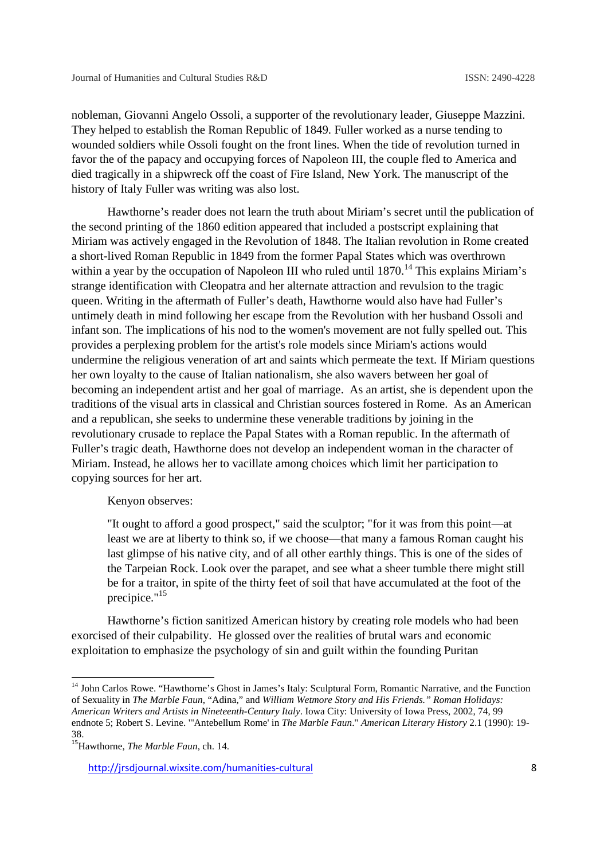nobleman, Giovanni Angelo Ossoli, a supporter of the revolutionary leader, Giuseppe Mazzini. They helped to establish the Roman Republic of 1849. Fuller worked as a nurse tending to wounded soldiers while Ossoli fought on the front lines. When the tide of revolution turned in favor the of the papacy and occupying forces of Napoleon III, the couple fled to America and died tragically in a shipwreck off the coast of Fire Island, New York. The manuscript of the history of Italy Fuller was writing was also lost.

Hawthorne's reader does not learn the truth about Miriam's secret until the publication of the second printing of the 1860 edition appeared that included a postscript explaining that Miriam was actively engaged in the Revolution of 1848. The Italian revolution in Rome created a short-lived Roman Republic in 1849 from the former Papal States which was overthrown within a year by the occupation of Napoleon III who ruled until  $1870$ .<sup>14</sup> This explains Miriam's strange identification with Cleopatra and her alternate attraction and revulsion to the tragic queen. Writing in the aftermath of Fuller's death, Hawthorne would also have had Fuller's untimely death in mind following her escape from the Revolution with her husband Ossoli and infant son. The implications of his nod to the women's movement are not fully spelled out. This provides a perplexing problem for the artist's role models since Miriam's actions would undermine the religious veneration of art and saints which permeate the text. If Miriam questions her own loyalty to the cause of Italian nationalism, she also wavers between her goal of becoming an independent artist and her goal of marriage. As an artist, she is dependent upon the traditions of the visual arts in classical and Christian sources fostered in Rome. As an American and a republican, she seeks to undermine these venerable traditions by joining in the revolutionary crusade to replace the Papal States with a Roman republic. In the aftermath of Fuller's tragic death, Hawthorne does not develop an independent woman in the character of Miriam. Instead, he allows her to vacillate among choices which limit her participation to copying sources for her art.

## Kenyon observes:

"It ought to afford a good prospect," said the sculptor; "for it was from this point—at least we are at liberty to think so, if we choose—that many a famous Roman caught his last glimpse of his native city, and of all other earthly things. This is one of the sides of the Tarpeian Rock. Look over the parapet, and see what a sheer tumble there might still be for a traitor, in spite of the thirty feet of soil that have accumulated at the foot of the precipice."<sup>15</sup>

Hawthorne's fiction sanitized American history by creating role models who had been exorcised of their culpability. He glossed over the realities of brutal wars and economic exploitation to emphasize the psychology of sin and guilt within the founding Puritan

<sup>&</sup>lt;sup>14</sup> John Carlos Rowe. "Hawthorne's Ghost in James's Italy: Sculptural Form, Romantic Narrative, and the Function of Sexuality in *The Marble Faun*, "Adina," and *William Wetmore Story and His Friends." Roman Holidays: American Writers and Artists in Nineteenth-Century Italy*. Iowa City: University of Iowa Press, 2002, 74, 99 endnote 5; Robert S. Levine. "'Antebellum Rome' in *The Marble Faun*." *American Literary History* 2.1 (1990): 19- 38. <sup>15</sup>Hawthorne, *The Marble Faun*, ch. 14.

http://jrsdjournal.wixsite.com/humanities-cultural 8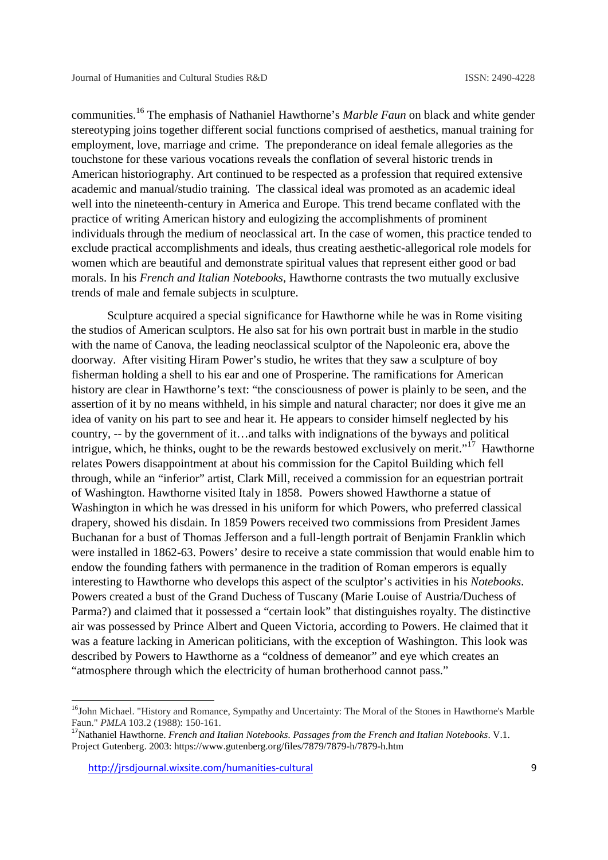communities.<sup>16</sup> The emphasis of Nathaniel Hawthorne's *Marble Faun* on black and white gender stereotyping joins together different social functions comprised of aesthetics, manual training for employment, love, marriage and crime. The preponderance on ideal female allegories as the touchstone for these various vocations reveals the conflation of several historic trends in American historiography. Art continued to be respected as a profession that required extensive academic and manual/studio training. The classical ideal was promoted as an academic ideal well into the nineteenth-century in America and Europe. This trend became conflated with the practice of writing American history and eulogizing the accomplishments of prominent individuals through the medium of neoclassical art. In the case of women, this practice tended to exclude practical accomplishments and ideals, thus creating aesthetic-allegorical role models for women which are beautiful and demonstrate spiritual values that represent either good or bad morals. In his *French and Italian Notebooks,* Hawthorne contrasts the two mutually exclusive trends of male and female subjects in sculpture.

Sculpture acquired a special significance for Hawthorne while he was in Rome visiting the studios of American sculptors. He also sat for his own portrait bust in marble in the studio with the name of Canova, the leading neoclassical sculptor of the Napoleonic era, above the doorway. After visiting Hiram Power's studio, he writes that they saw a sculpture of boy fisherman holding a shell to his ear and one of Prosperine. The ramifications for American history are clear in Hawthorne's text: "the consciousness of power is plainly to be seen, and the assertion of it by no means withheld, in his simple and natural character; nor does it give me an idea of vanity on his part to see and hear it. He appears to consider himself neglected by his country, -- by the government of it…and talks with indignations of the byways and political intrigue, which, he thinks, ought to be the rewards bestowed exclusively on merit."<sup>17</sup> Hawthorne relates Powers disappointment at about his commission for the Capitol Building which fell through, while an "inferior" artist, Clark Mill, received a commission for an equestrian portrait of Washington. Hawthorne visited Italy in 1858. Powers showed Hawthorne a statue of Washington in which he was dressed in his uniform for which Powers, who preferred classical drapery, showed his disdain. In 1859 Powers received two commissions from President James Buchanan for a bust of Thomas Jefferson and a full-length portrait of Benjamin Franklin which were installed in 1862-63. Powers' desire to receive a state commission that would enable him to endow the founding fathers with permanence in the tradition of Roman emperors is equally interesting to Hawthorne who develops this aspect of the sculptor's activities in his *Notebooks*. Powers created a bust of the Grand Duchess of Tuscany (Marie Louise of Austria/Duchess of Parma?) and claimed that it possessed a "certain look" that distinguishes royalty. The distinctive air was possessed by Prince Albert and Queen Victoria, according to Powers. He claimed that it was a feature lacking in American politicians, with the exception of Washington. This look was described by Powers to Hawthorne as a "coldness of demeanor" and eye which creates an "atmosphere through which the electricity of human brotherhood cannot pass."

<sup>&</sup>lt;sup>16</sup>John Michael. "History and Romance, Sympathy and Uncertainty: The Moral of the Stones in Hawthorne's Marble Faun." *PMLA* 103.2 (1988): 150-161.

Faun." *PMLA* 103.2 (1988): 150-161. <sup>17</sup>Nathaniel Hawthorne. *French and Italian Notebooks. Passages from the French and Italian Notebooks*. V.1. Project Gutenberg. 2003: https://www.gutenberg.org/files/7879/7879-h/7879-h.htm

http://jrsdjournal.wixsite.com/humanities-cultural 9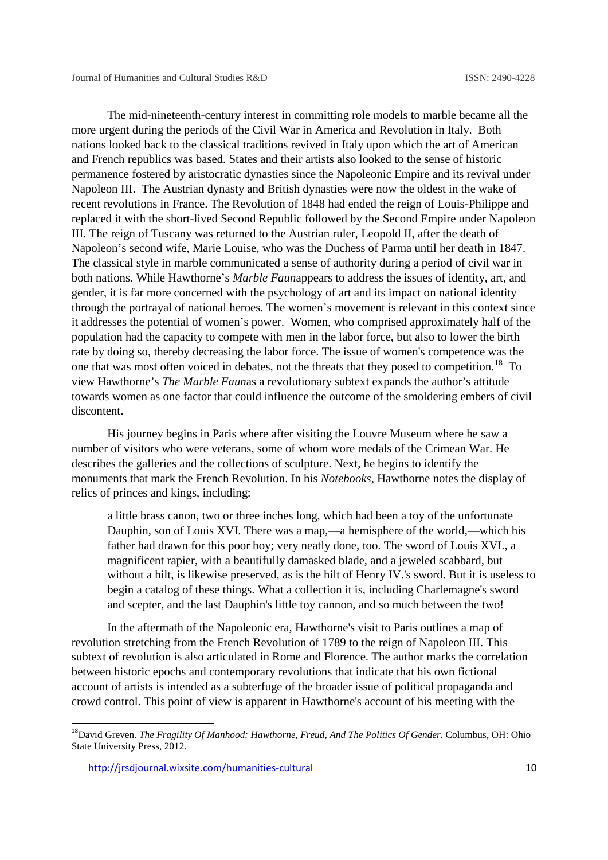The mid-nineteenth-century interest in committing role models to marble became all the more urgent during the periods of the Civil War in America and Revolution in Italy. Both nations looked back to the classical traditions revived in Italy upon which the art of American and French republics was based. States and their artists also looked to the sense of historic permanence fostered by aristocratic dynasties since the Napoleonic Empire and its revival under Napoleon III. The Austrian dynasty and British dynasties were now the oldest in the wake of recent revolutions in France. The Revolution of 1848 had ended the reign of Louis-Philippe and replaced it with the short-lived Second Republic followed by the Second Empire under Napoleon III. The reign of Tuscany was returned to the Austrian ruler, Leopold II, after the death of Napoleon's second wife, Marie Louise, who was the Duchess of Parma until her death in 1847. The classical style in marble communicated a sense of authority during a period of civil war in both nations. While Hawthorne's *Marble Faun*appears to address the issues of identity, art, and gender, it is far more concerned with the psychology of art and its impact on national identity through the portrayal of national heroes. The women's movement is relevant in this context since it addresses the potential of women's power. Women, who comprised approximately half of the population had the capacity to compete with men in the labor force, but also to lower the birth rate by doing so, thereby decreasing the labor force. The issue of women's competence was the one that was most often voiced in debates, not the threats that they posed to competition.<sup>18</sup> To view Hawthorne's *The Marble Faun*as a revolutionary subtext expands the author's attitude towards women as one factor that could influence the outcome of the smoldering embers of civil discontent.

His journey begins in Paris where after visiting the Louvre Museum where he saw a number of visitors who were veterans, some of whom wore medals of the Crimean War. He describes the galleries and the collections of sculpture. Next, he begins to identify the monuments that mark the French Revolution. In his *Notebooks*, Hawthorne notes the display of relics of princes and kings, including:

a little brass canon, two or three inches long, which had been a toy of the unfortunate Dauphin, son of Louis XVI. There was a map,—a hemisphere of the world,—which his father had drawn for this poor boy; very neatly done, too. The sword of Louis XVI., a magnificent rapier, with a beautifully damasked blade, and a jeweled scabbard, but without a hilt, is likewise preserved, as is the hilt of Henry IV.'s sword. But it is useless to begin a catalog of these things. What a collection it is, including Charlemagne's sword and scepter, and the last Dauphin's little toy cannon, and so much between the two!

In the aftermath of the Napoleonic era, Hawthorne's visit to Paris outlines a map of revolution stretching from the French Revolution of 1789 to the reign of Napoleon III. This subtext of revolution is also articulated in Rome and Florence. The author marks the correlation between historic epochs and contemporary revolutions that indicate that his own fictional account of artists is intended as a subterfuge of the broader issue of political propaganda and crowd control. This point of view is apparent in Hawthorne's account of his meeting with the

<sup>18</sup>David Greven. *The Fragility Of Manhood: Hawthorne, Freud, And The Politics Of Gender*. Columbus, OH: Ohio State University Press, 2012.

http://jrsdjournal.wixsite.com/humanities-cultural 10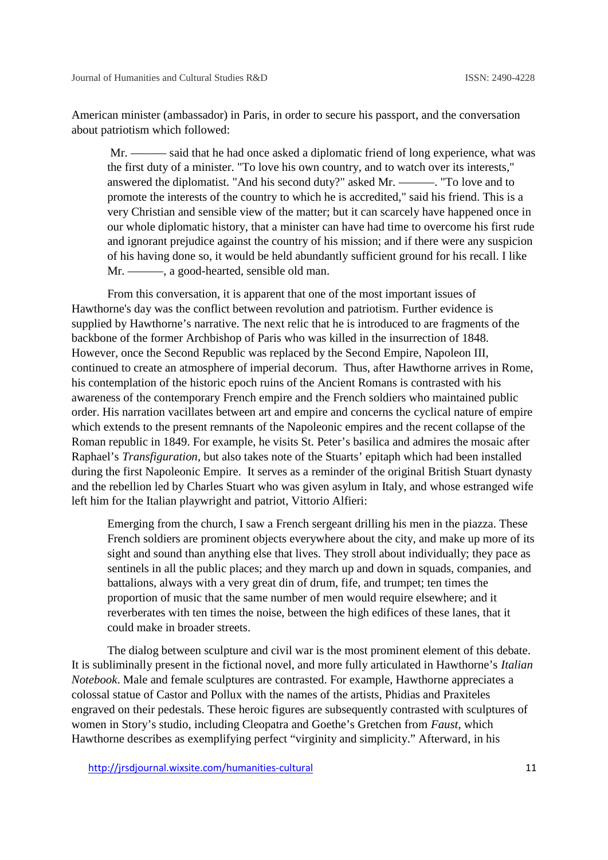American minister (ambassador) in Paris, in order to secure his passport, and the conversation about patriotism which followed:

Mr. ——— said that he had once asked a diplomatic friend of long experience, what was the first duty of a minister. "To love his own country, and to watch over its interests," answered the diplomatist. "And his second duty?" asked Mr. ———. "To love and to promote the interests of the country to which he is accredited," said his friend. This is a very Christian and sensible view of the matter; but it can scarcely have happened once in our whole diplomatic history, that a minister can have had time to overcome his first rude and ignorant prejudice against the country of his mission; and if there were any suspicion of his having done so, it would be held abundantly sufficient ground for his recall. I like Mr. ———, a good-hearted, sensible old man.

From this conversation, it is apparent that one of the most important issues of Hawthorne's day was the conflict between revolution and patriotism. Further evidence is supplied by Hawthorne's narrative. The next relic that he is introduced to are fragments of the backbone of the former Archbishop of Paris who was killed in the insurrection of 1848. However, once the Second Republic was replaced by the Second Empire, Napoleon III, continued to create an atmosphere of imperial decorum. Thus, after Hawthorne arrives in Rome, his contemplation of the historic epoch ruins of the Ancient Romans is contrasted with his awareness of the contemporary French empire and the French soldiers who maintained public order. His narration vacillates between art and empire and concerns the cyclical nature of empire which extends to the present remnants of the Napoleonic empires and the recent collapse of the Roman republic in 1849. For example, he visits St. Peter's basilica and admires the mosaic after Raphael's *Transfiguration*, but also takes note of the Stuarts' epitaph which had been installed during the first Napoleonic Empire. It serves as a reminder of the original British Stuart dynasty and the rebellion led by Charles Stuart who was given asylum in Italy, and whose estranged wife left him for the Italian playwright and patriot, Vittorio Alfieri:

Emerging from the church, I saw a French sergeant drilling his men in the piazza. These French soldiers are prominent objects everywhere about the city, and make up more of its sight and sound than anything else that lives. They stroll about individually; they pace as sentinels in all the public places; and they march up and down in squads, companies, and battalions, always with a very great din of drum, fife, and trumpet; ten times the proportion of music that the same number of men would require elsewhere; and it reverberates with ten times the noise, between the high edifices of these lanes, that it could make in broader streets.

The dialog between sculpture and civil war is the most prominent element of this debate. It is subliminally present in the fictional novel, and more fully articulated in Hawthorne's *Italian Notebook*. Male and female sculptures are contrasted. For example, Hawthorne appreciates a colossal statue of Castor and Pollux with the names of the artists, Phidias and Praxiteles engraved on their pedestals. These heroic figures are subsequently contrasted with sculptures of women in Story's studio, including Cleopatra and Goethe's Gretchen from *Faust,* which Hawthorne describes as exemplifying perfect "virginity and simplicity." Afterward, in his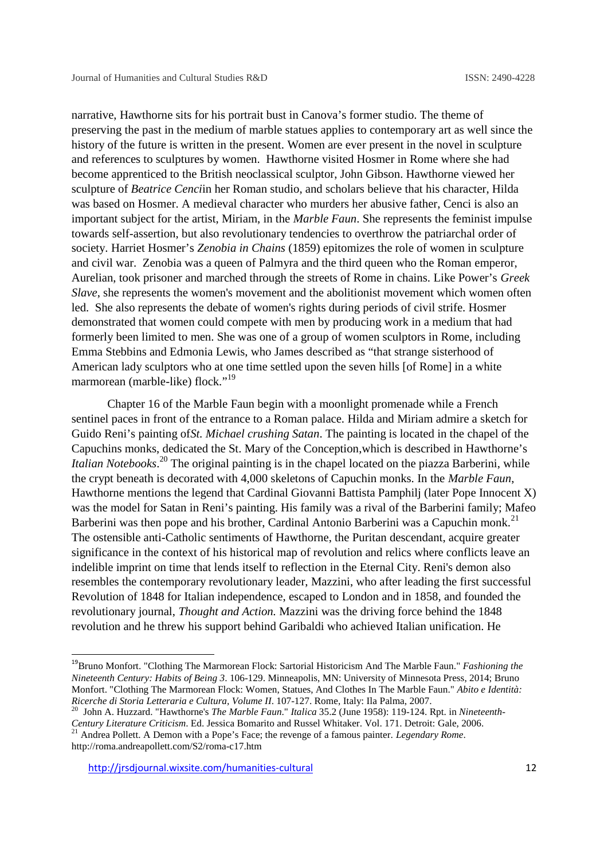narrative, Hawthorne sits for his portrait bust in Canova's former studio. The theme of preserving the past in the medium of marble statues applies to contemporary art as well since the history of the future is written in the present. Women are ever present in the novel in sculpture and references to sculptures by women. Hawthorne visited Hosmer in Rome where she had become apprenticed to the British neoclassical sculptor, John Gibson. Hawthorne viewed her sculpture of *Beatrice Cenci*in her Roman studio, and scholars believe that his character, Hilda was based on Hosmer. A medieval character who murders her abusive father, Cenci is also an important subject for the artist, Miriam, in the *Marble Faun*. She represents the feminist impulse towards self-assertion, but also revolutionary tendencies to overthrow the patriarchal order of society. Harriet Hosmer's *Zenobia in Chains* (1859) epitomizes the role of women in sculpture and civil war. Zenobia was a queen of Palmyra and the third queen who the Roman emperor, Aurelian, took prisoner and marched through the streets of Rome in chains. Like Power's *Greek Slave*, she represents the women's movement and the abolitionist movement which women often led. She also represents the debate of women's rights during periods of civil strife. Hosmer demonstrated that women could compete with men by producing work in a medium that had formerly been limited to men. She was one of a group of women sculptors in Rome, including Emma Stebbins and Edmonia Lewis, who James described as "that strange sisterhood of American lady sculptors who at one time settled upon the seven hills [of Rome] in a white marmorean (marble-like) flock."<sup>19</sup>

Chapter 16 of the Marble Faun begin with a moonlight promenade while a French sentinel paces in front of the entrance to a Roman palace. Hilda and Miriam admire a sketch for Guido Reni's painting of*St. Michael crushing Satan*. The painting is located in the chapel of the Capuchins monks, dedicated the St. Mary of the Conception,which is described in Hawthorne's *Italian Notebooks*<sup>20</sup> The original painting is in the chapel located on the piazza Barberini, while the crypt beneath is decorated with 4,000 skeletons of Capuchin monks. In the *Marble Faun*, Hawthorne mentions the legend that Cardinal Giovanni Battista Pamphilj (later Pope Innocent X) was the model for Satan in Reni's painting. His family was a rival of the Barberini family; Mafeo Barberini was then pope and his brother, Cardinal Antonio Barberini was a Capuchin monk.<sup>21</sup> The ostensible anti-Catholic sentiments of Hawthorne, the Puritan descendant, acquire greater significance in the context of his historical map of revolution and relics where conflicts leave an indelible imprint on time that lends itself to reflection in the Eternal City. Reni's demon also resembles the contemporary revolutionary leader, Mazzini, who after leading the first successful Revolution of 1848 for Italian independence, escaped to London and in 1858, and founded the revolutionary journal, *Thought and Action.* Mazzini was the driving force behind the 1848 revolution and he threw his support behind Garibaldi who achieved Italian unification. He

<sup>19</sup>Bruno Monfort. "Clothing The Marmorean Flock: Sartorial Historicism And The Marble Faun." *Fashioning the Nineteenth Century: Habits of Being 3*. 106-129. Minneapolis, MN: University of Minnesota Press, 2014; Bruno Monfort. "Clothing The Marmorean Flock: Women, Statues, And Clothes In The Marble Faun." *Abito e Identità:*

<sup>&</sup>lt;sup>20</sup> John A. Huzzard. "Hawthorne's *The Marble Faun." Italica* 35.2 (June 1958): 119-124. Rpt. in Nineteenth-*Century Literature Criticism*. Ed. Jessica Bomarito and Russel Whitaker. Vol. 171. Detroit: Gale, 2006. <sup>21</sup> Andrea Pollett. A Demon with a Pope's Face; the revenge of a famous painter. *Legendary Rome*.

http://roma.andreapollett.com/S2/roma-c17.htm

http://jrsdjournal.wixsite.com/humanities-cultural 12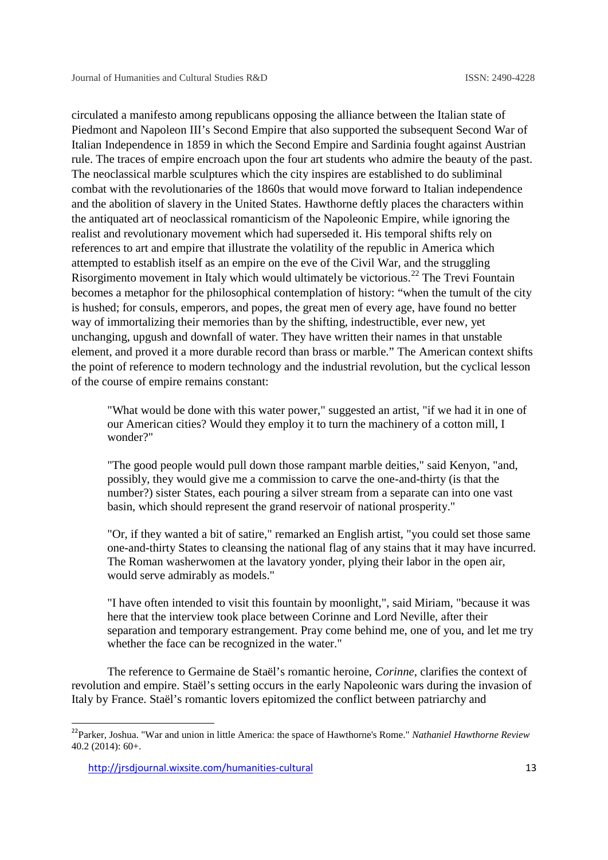circulated a manifesto among republicans opposing the alliance between the Italian state of Piedmont and Napoleon III's Second Empire that also supported the subsequent Second War of Italian Independence in 1859 in which the Second Empire and Sardinia fought against Austrian rule. The traces of empire encroach upon the four art students who admire the beauty of the past. The neoclassical marble sculptures which the city inspires are established to do subliminal combat with the revolutionaries of the 1860s that would move forward to Italian independence and the abolition of slavery in the United States. Hawthorne deftly places the characters within the antiquated art of neoclassical romanticism of the Napoleonic Empire, while ignoring the realist and revolutionary movement which had superseded it. His temporal shifts rely on references to art and empire that illustrate the volatility of the republic in America which attempted to establish itself as an empire on the eve of the Civil War, and the struggling Risorgimento movement in Italy which would ultimately be victorious.<sup>22</sup> The Trevi Fountain becomes a metaphor for the philosophical contemplation of history: "when the tumult of the city is hushed; for consuls, emperors, and popes, the great men of every age, have found no better way of immortalizing their memories than by the shifting, indestructible, ever new, yet unchanging, upgush and downfall of water. They have written their names in that unstable element, and proved it a more durable record than brass or marble." The American context shifts the point of reference to modern technology and the industrial revolution, but the cyclical lesson of the course of empire remains constant:

"What would be done with this water power," suggested an artist, "if we had it in one of our American cities? Would they employ it to turn the machinery of a cotton mill, I wonder?"

"The good people would pull down those rampant marble deities," said Kenyon, "and, possibly, they would give me a commission to carve the one-and-thirty (is that the number?) sister States, each pouring a silver stream from a separate can into one vast basin, which should represent the grand reservoir of national prosperity."

"Or, if they wanted a bit of satire," remarked an English artist, "you could set those same one-and-thirty States to cleansing the national flag of any stains that it may have incurred. The Roman washerwomen at the lavatory yonder, plying their labor in the open air, would serve admirably as models."

"I have often intended to visit this fountain by moonlight,", said Miriam, "because it was here that the interview took place between Corinne and Lord Neville, after their separation and temporary estrangement. Pray come behind me, one of you, and let me try whether the face can be recognized in the water."

The reference to Germaine de Staël's romantic heroine, *Corinne,* clarifies the context of revolution and empire. Staël's setting occurs in the early Napoleonic wars during the invasion of Italy by France. Staël's romantic lovers epitomized the conflict between patriarchy and

<sup>22</sup>Parker, Joshua. "War and union in little America: the space of Hawthorne's Rome." *Nathaniel Hawthorne Review* 40.2 (2014): 60+.

http://jrsdjournal.wixsite.com/humanities-cultural 13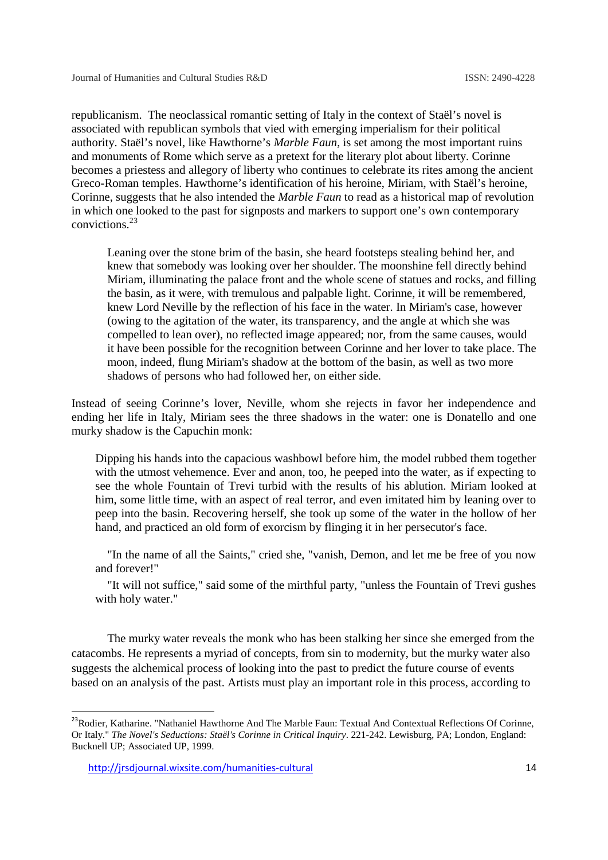republicanism. The neoclassical romantic setting of Italy in the context of Staël's novel is associated with republican symbols that vied with emerging imperialism for their political authority. Staël's novel, like Hawthorne's *Marble Faun*, is set among the most important ruins and monuments of Rome which serve as a pretext for the literary plot about liberty. Corinne becomes a priestess and allegory of liberty who continues to celebrate its rites among the ancient Greco-Roman temples. Hawthorne's identification of his heroine, Miriam, with Staël's heroine, Corinne, suggests that he also intended the *Marble Faun* to read as a historical map of revolution in which one looked to the past for signposts and markers to support one's own contemporary convictions.<sup>23</sup>

Leaning over the stone brim of the basin, she heard footsteps stealing behind her, and knew that somebody was looking over her shoulder. The moonshine fell directly behind Miriam, illuminating the palace front and the whole scene of statues and rocks, and filling the basin, as it were, with tremulous and palpable light. Corinne, it will be remembered, knew Lord Neville by the reflection of his face in the water. In Miriam's case, however (owing to the agitation of the water, its transparency, and the angle at which she was compelled to lean over), no reflected image appeared; nor, from the same causes, would it have been possible for the recognition between Corinne and her lover to take place. The moon, indeed, flung Miriam's shadow at the bottom of the basin, as well as two more shadows of persons who had followed her, on either side.

Instead of seeing Corinne's lover, Neville, whom she rejects in favor her independence and ending her life in Italy, Miriam sees the three shadows in the water: one is Donatello and one murky shadow is the Capuchin monk:

Dipping his hands into the capacious washbowl before him, the model rubbed them together with the utmost vehemence. Ever and anon, too, he peeped into the water, as if expecting to see the whole Fountain of Trevi turbid with the results of his ablution. Miriam looked at him, some little time, with an aspect of real terror, and even imitated him by leaning over to peep into the basin. Recovering herself, she took up some of the water in the hollow of her hand, and practiced an old form of exorcism by flinging it in her persecutor's face.

"In the name of all the Saints," cried she, "vanish, Demon, and let me be free of you now and forever!"

"It will not suffice," said some of the mirthful party, "unless the Fountain of Trevi gushes with holy water."

The murky water reveals the monk who has been stalking her since she emerged from the catacombs. He represents a myriad of concepts, from sin to modernity, but the murky water also suggests the alchemical process of looking into the past to predict the future course of events based on an analysis of the past. Artists must play an important role in this process, according to

<sup>&</sup>lt;sup>23</sup>Rodier. Katharine. "Nathaniel Hawthorne And The Marble Faun: Textual And Contextual Reflections Of Corinne, Or Italy." *The Novel's Seductions: Staël's Corinne in Critical Inquiry*. 221-242. Lewisburg, PA; London, England: Bucknell UP; Associated UP, 1999.

http://jrsdjournal.wixsite.com/humanities-cultural 14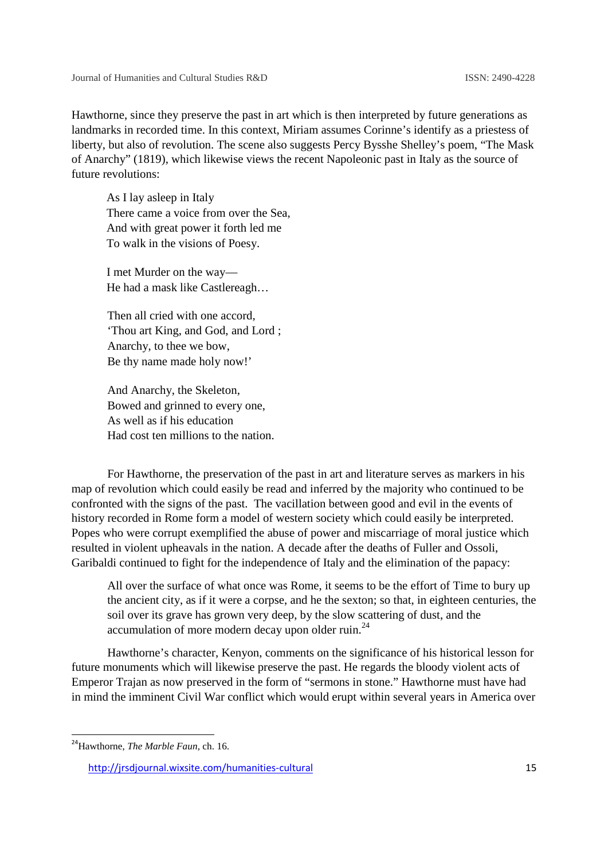Hawthorne, since they preserve the past in art which is then interpreted by future generations as landmarks in recorded time. In this context, Miriam assumes Corinne's identify as a priestess of liberty, but also of revolution. The scene also suggests Percy Bysshe Shelley's poem, "The Mask of Anarchy" (1819), which likewise views the recent Napoleonic past in Italy as the source of future revolutions:

As I lay asleep in Italy There came a voice from over the Sea, And with great power it forth led me To walk in the visions of Poesy.

I met Murder on the way— He had a mask like Castlereagh…

Then all cried with one accord, 'Thou art King, and God, and Lord ; Anarchy, to thee we bow, Be thy name made holy now!'

And Anarchy, the Skeleton, Bowed and grinned to every one, As well as if his education Had cost ten millions to the nation.

For Hawthorne, the preservation of the past in art and literature serves as markers in his map of revolution which could easily be read and inferred by the majority who continued to be confronted with the signs of the past. The vacillation between good and evil in the events of history recorded in Rome form a model of western society which could easily be interpreted. Popes who were corrupt exemplified the abuse of power and miscarriage of moral justice which resulted in violent upheavals in the nation. A decade after the deaths of Fuller and Ossoli, Garibaldi continued to fight for the independence of Italy and the elimination of the papacy:

All over the surface of what once was Rome, it seems to be the effort of Time to bury up the ancient city, as if it were a corpse, and he the sexton; so that, in eighteen centuries, the soil over its grave has grown very deep, by the slow scattering of dust, and the accumulation of more modern decay upon older ruin.<sup>24</sup>

Hawthorne's character, Kenyon, comments on the significance of his historical lesson for future monuments which will likewise preserve the past. He regards the bloody violent acts of Emperor Trajan as now preserved in the form of "sermons in stone." Hawthorne must have had in mind the imminent Civil War conflict which would erupt within several years in America over

<sup>24</sup>Hawthorne, *The Marble Faun*, ch. 16.

http://jrsdjournal.wixsite.com/humanities-cultural 15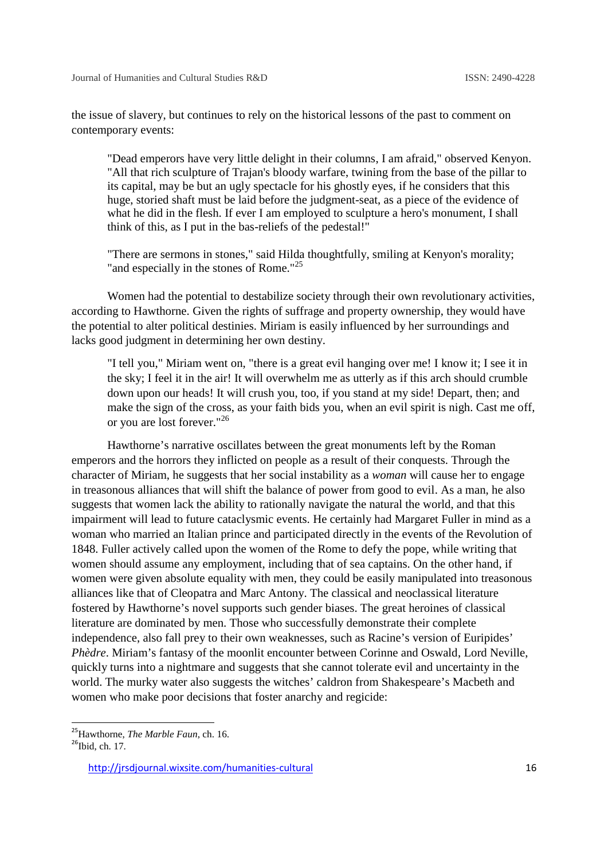the issue of slavery, but continues to rely on the historical lessons of the past to comment on contemporary events:

"Dead emperors have very little delight in their columns, I am afraid," observed Kenyon. "All that rich sculpture of Trajan's bloody warfare, twining from the base of the pillar to its capital, may be but an ugly spectacle for his ghostly eyes, if he considers that this huge, storied shaft must be laid before the judgment-seat, as a piece of the evidence of what he did in the flesh. If ever I am employed to sculpture a hero's monument, I shall think of this, as I put in the bas-reliefs of the pedestal!"

"There are sermons in stones," said Hilda thoughtfully, smiling at Kenyon's morality; "and especially in the stones of Rome."<sup>25</sup>

Women had the potential to destabilize society through their own revolutionary activities, according to Hawthorne. Given the rights of suffrage and property ownership, they would have the potential to alter political destinies. Miriam is easily influenced by her surroundings and lacks good judgment in determining her own destiny.

"I tell you," Miriam went on, "there is a great evil hanging over me! I know it; I see it in the sky; I feel it in the air! It will overwhelm me as utterly as if this arch should crumble down upon our heads! It will crush you, too, if you stand at my side! Depart, then; and make the sign of the cross, as your faith bids you, when an evil spirit is nigh. Cast me off, or you are lost forever."<sup>26</sup>

Hawthorne's narrative oscillates between the great monuments left by the Roman emperors and the horrors they inflicted on people as a result of their conquests. Through the character of Miriam, he suggests that her social instability as a *woman* will cause her to engage in treasonous alliances that will shift the balance of power from good to evil. As a man, he also suggests that women lack the ability to rationally navigate the natural the world, and that this impairment will lead to future cataclysmic events. He certainly had Margaret Fuller in mind as a woman who married an Italian prince and participated directly in the events of the Revolution of 1848. Fuller actively called upon the women of the Rome to defy the pope, while writing that women should assume any employment, including that of sea captains. On the other hand, if women were given absolute equality with men, they could be easily manipulated into treasonous alliances like that of Cleopatra and Marc Antony. The classical and neoclassical literature fostered by Hawthorne's novel supports such gender biases. The great heroines of classical literature are dominated by men. Those who successfully demonstrate their complete independence, also fall prey to their own weaknesses, such as Racine's version of Euripides' *Phèdre*. Miriam's fantasy of the moonlit encounter between Corinne and Oswald, Lord Neville, quickly turns into a nightmare and suggests that she cannot tolerate evil and uncertainty in the world. The murky water also suggests the witches' caldron from Shakespeare's Macbeth and women who make poor decisions that foster anarchy and regicide:

<sup>&</sup>lt;sup>25</sup>Hawthorne, *The Marble Faun*, ch. 16.<br><sup>26</sup>Ibid, ch. 17.

http://jrsdjournal.wixsite.com/humanities-cultural 16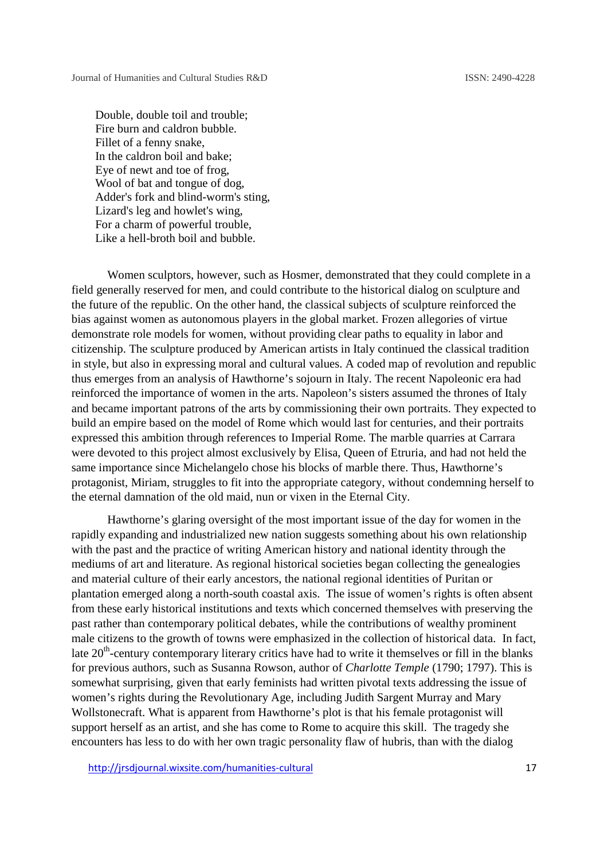Double, double toil and trouble; Fire burn and caldron bubble. Fillet of a fenny snake, In the caldron boil and bake; Eye of newt and toe of frog, Wool of bat and tongue of dog, Adder's fork and blind-worm's sting, Lizard's leg and howlet's wing, For a charm of powerful trouble, Like a hell-broth boil and bubble.

Women sculptors, however, such as Hosmer, demonstrated that they could complete in a field generally reserved for men, and could contribute to the historical dialog on sculpture and the future of the republic. On the other hand, the classical subjects of sculpture reinforced the bias against women as autonomous players in the global market. Frozen allegories of virtue demonstrate role models for women, without providing clear paths to equality in labor and citizenship. The sculpture produced by American artists in Italy continued the classical tradition in style, but also in expressing moral and cultural values. A coded map of revolution and republic thus emerges from an analysis of Hawthorne's sojourn in Italy. The recent Napoleonic era had reinforced the importance of women in the arts. Napoleon's sisters assumed the thrones of Italy and became important patrons of the arts by commissioning their own portraits. They expected to build an empire based on the model of Rome which would last for centuries, and their portraits expressed this ambition through references to Imperial Rome. The marble quarries at Carrara were devoted to this project almost exclusively by Elisa, Queen of Etruria, and had not held the same importance since Michelangelo chose his blocks of marble there. Thus, Hawthorne's protagonist, Miriam, struggles to fit into the appropriate category, without condemning herself to the eternal damnation of the old maid, nun or vixen in the Eternal City.

Hawthorne's glaring oversight of the most important issue of the day for women in the rapidly expanding and industrialized new nation suggests something about his own relationship with the past and the practice of writing American history and national identity through the mediums of art and literature. As regional historical societies began collecting the genealogies and material culture of their early ancestors, the national regional identities of Puritan or plantation emerged along a north-south coastal axis. The issue of women's rights is often absent from these early historical institutions and texts which concerned themselves with preserving the past rather than contemporary political debates, while the contributions of wealthy prominent male citizens to the growth of towns were emphasized in the collection of historical data. In fact, late 20<sup>th</sup>-century contemporary literary critics have had to write it themselves or fill in the blanks for previous authors, such as Susanna Rowson, author of *Charlotte Temple* (1790; 1797). This is somewhat surprising, given that early feminists had written pivotal texts addressing the issue of women's rights during the Revolutionary Age, including Judith Sargent Murray and Mary Wollstonecraft. What is apparent from Hawthorne's plot is that his female protagonist will support herself as an artist, and she has come to Rome to acquire this skill. The tragedy she encounters has less to do with her own tragic personality flaw of hubris, than with the dialog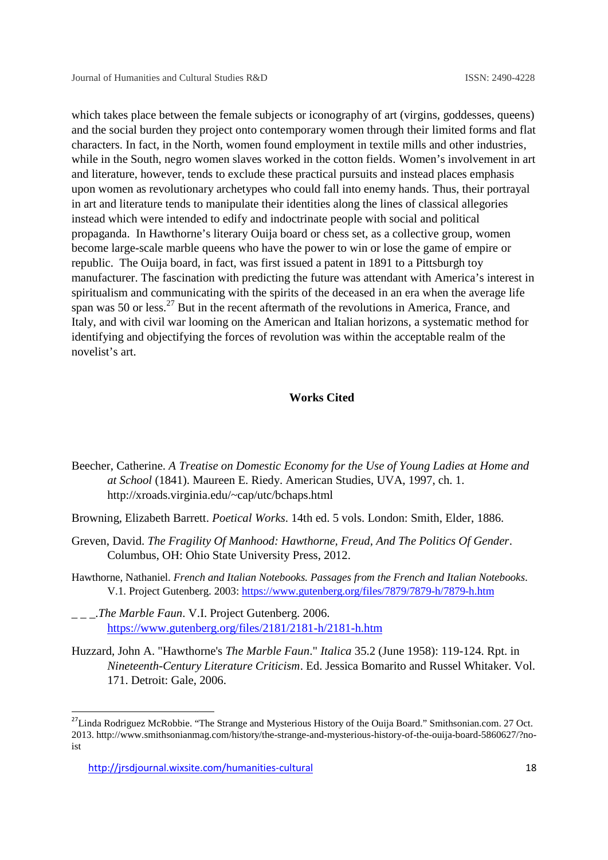which takes place between the female subjects or iconography of art (virgins, goddesses, queens) and the social burden they project onto contemporary women through their limited forms and flat characters. In fact, in the North, women found employment in textile mills and other industries, while in the South, negro women slaves worked in the cotton fields. Women's involvement in art and literature, however, tends to exclude these practical pursuits and instead places emphasis upon women as revolutionary archetypes who could fall into enemy hands. Thus, their portrayal in art and literature tends to manipulate their identities along the lines of classical allegories instead which were intended to edify and indoctrinate people with social and political propaganda. In Hawthorne's literary Ouija board or chess set, as a collective group, women become large-scale marble queens who have the power to win or lose the game of empire or republic. The Ouija board, in fact, was first issued a patent in 1891 to a Pittsburgh toy manufacturer. The fascination with predicting the future was attendant with America's interest in spiritualism and communicating with the spirits of the deceased in an era when the average life span was 50 or less.<sup>27</sup> But in the recent aftermath of the revolutions in America, France, and Italy, and with civil war looming on the American and Italian horizons, a systematic method for identifying and objectifying the forces of revolution was within the acceptable realm of the novelist's art.

## **Works Cited**

- Beecher, Catherine. *A Treatise on Domestic Economy for the Use of Young Ladies at Home and at School* (1841). Maureen E. Riedy. American Studies, UVA, 1997, ch. 1. http://xroads.virginia.edu/~cap/utc/bchaps.html
- Browning, Elizabeth Barrett. *Poetical Works*. 14th ed. 5 vols. London: Smith, Elder, 1886.
- Greven, David. *The Fragility Of Manhood: Hawthorne, Freud, And The Politics Of Gender*. Columbus, OH: Ohio State University Press, 2012.
- Hawthorne, Nathaniel. *French and Italian Notebooks. Passages from the French and Italian Notebooks*. V.1. Project Gutenberg. 2003: https://www.gutenberg.org/files/7879/7879-h/7879-h.htm
- .*The Marble Faun. V.I. Project Gutenberg. 2006.* https://www.gutenberg.org/files/2181/2181-h/2181-h.htm
- Huzzard, John A. "Hawthorne's *The Marble Faun*." *Italica* 35.2 (June 1958): 119-124. Rpt. in *Nineteenth-Century Literature Criticism*. Ed. Jessica Bomarito and Russel Whitaker. Vol. 171. Detroit: Gale, 2006.

<sup>&</sup>lt;sup>27</sup>Linda Rodriguez McRobbie. "The Strange and Mysterious History of the Ouija Board." Smithsonian.com. 27 Oct. 2013. http://www.smithsonianmag.com/history/the-strange-and-mysterious-history-of-the-ouija-board-5860627/?noist

http://jrsdjournal.wixsite.com/humanities-cultural 18